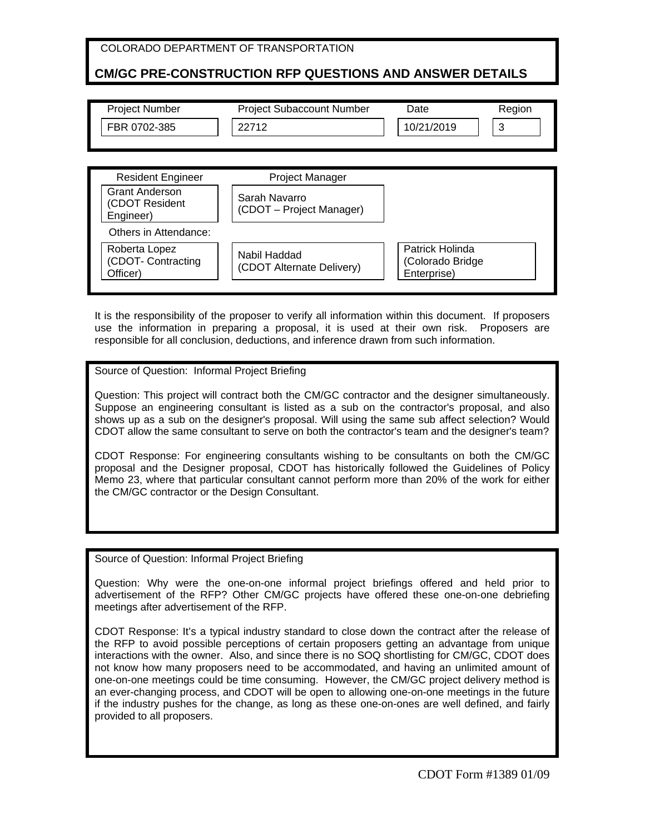| COLORADO DEPARTMENT OF TRANSPORTATION                          |                                  |            |        |  |
|----------------------------------------------------------------|----------------------------------|------------|--------|--|
| <b>CM/GC PRE-CONSTRUCTION RFP QUESTIONS AND ANSWER DETAILS</b> |                                  |            |        |  |
|                                                                |                                  |            |        |  |
| <b>Project Number</b>                                          | <b>Project Subaccount Number</b> | Date       | Region |  |
| FBR 0702-385                                                   | 22712                            | 10/21/2019 | 3      |  |
|                                                                |                                  |            |        |  |
|                                                                |                                  |            |        |  |
| Dooidant Engineer                                              | Droigot Manager                  |            |        |  |

| <b>Resident Engineer</b>                             | <b>Project Manager</b>                    |                                                    |
|------------------------------------------------------|-------------------------------------------|----------------------------------------------------|
| <b>Grant Anderson</b><br>(CDOT Resident<br>Engineer) | Sarah Navarro<br>(CDOT – Project Manager) |                                                    |
| Others in Attendance:                                |                                           |                                                    |
| Roberta Lopez<br>(CDOT- Contracting<br>Officer)      | Nabil Haddad<br>(CDOT Alternate Delivery) | Patrick Holinda<br>(Colorado Bridge<br>Enterprise) |

It is the responsibility of the proposer to verify all information within this document. If proposers use the information in preparing a proposal, it is used at their own risk. Proposers are responsible for all conclusion, deductions, and inference drawn from such information.

#### Source of Question: Informal Project Briefing

Question: This project will contract both the CM/GC contractor and the designer simultaneously. Suppose an engineering consultant is listed as a sub on the contractor's proposal, and also shows up as a sub on the designer's proposal. Will using the same sub affect selection? Would CDOT allow the same consultant to serve on both the contractor's team and the designer's team?

CDOT Response: For engineering consultants wishing to be consultants on both the CM/GC proposal and the Designer proposal, CDOT has historically followed the Guidelines of Policy Memo 23, where that particular consultant cannot perform more than 20% of the work for either the CM/GC contractor or the Design Consultant.

Source of Question: Informal Project Briefing

Question: Why were the one-on-one informal project briefings offered and held prior to advertisement of the RFP? Other CM/GC projects have offered these one-on-one debriefing meetings after advertisement of the RFP.

CDOT Response: It's a typical industry standard to close down the contract after the release of the RFP to avoid possible perceptions of certain proposers getting an advantage from unique interactions with the owner. Also, and since there is no SOQ shortlisting for CM/GC, CDOT does not know how many proposers need to be accommodated, and having an unlimited amount of one-on-one meetings could be time consuming. However, the CM/GC project delivery method is an ever-changing process, and CDOT will be open to allowing one-on-one meetings in the future if the industry pushes for the change, as long as these one-on-ones are well defined, and fairly provided to all proposers.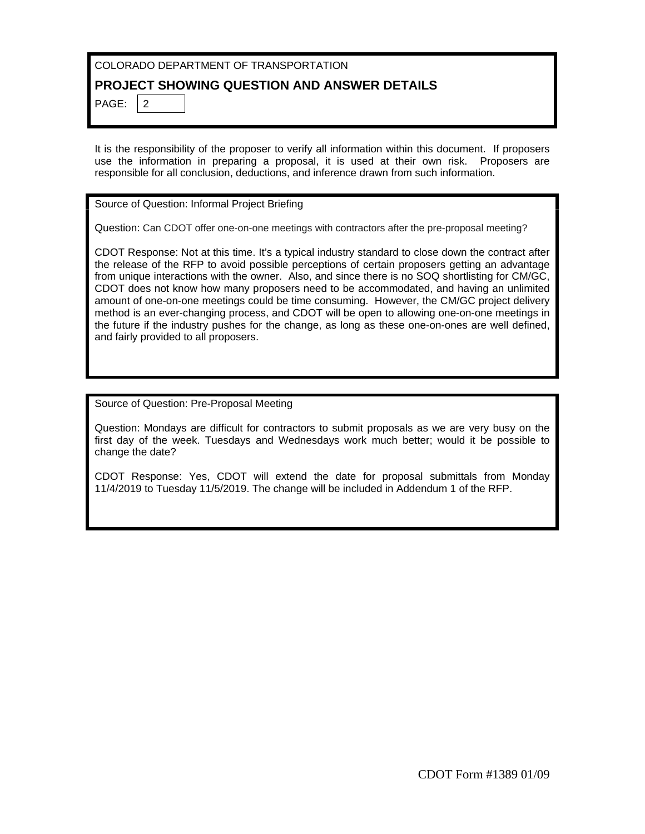# COLORADO DEPARTMENT OF TRANSPORTATION

## **PROJECT SHOWING QUESTION AND ANSWER DETAILS**

PAGE:  $\vert$  2

It is the responsibility of the proposer to verify all information within this document. If proposers use the information in preparing a proposal, it is used at their own risk. Proposers are responsible for all conclusion, deductions, and inference drawn from such information.

Source of Question: Informal Project Briefing

Question: Can CDOT offer one-on-one meetings with contractors after the pre-proposal meeting?

CDOT Response: Not at this time. It's a typical industry standard to close down the contract after the release of the RFP to avoid possible perceptions of certain proposers getting an advantage from unique interactions with the owner. Also, and since there is no SOQ shortlisting for CM/GC, CDOT does not know how many proposers need to be accommodated, and having an unlimited amount of one-on-one meetings could be time consuming. However, the CM/GC project delivery method is an ever-changing process, and CDOT will be open to allowing one-on-one meetings in the future if the industry pushes for the change, as long as these one-on-ones are well defined, and fairly provided to all proposers.

Source of Question: Pre-Proposal Meeting

Question: Mondays are difficult for contractors to submit proposals as we are very busy on the first day of the week. Tuesdays and Wednesdays work much better; would it be possible to change the date?

CDOT Response: Yes, CDOT will extend the date for proposal submittals from Monday 11/4/2019 to Tuesday 11/5/2019. The change will be included in Addendum 1 of the RFP.